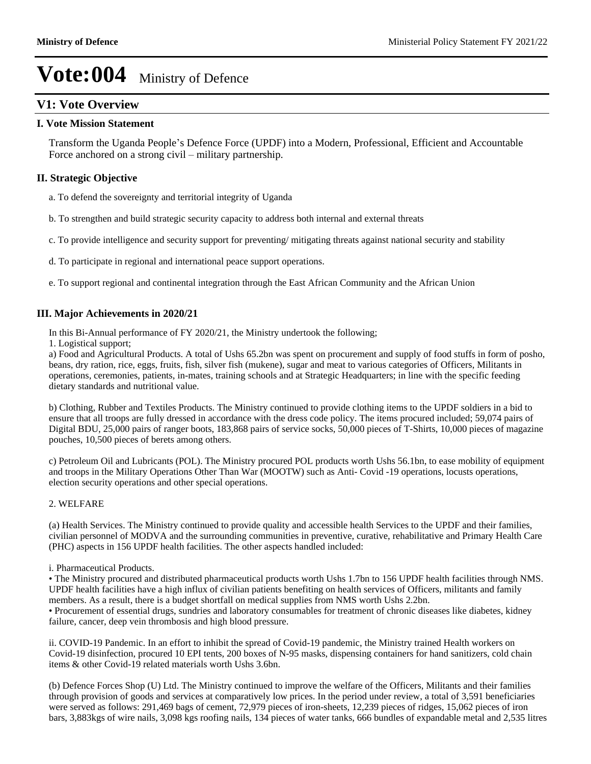### **V1: Vote Overview**

### **I. Vote Mission Statement**

Transform the Uganda People's Defence Force (UPDF) into a Modern, Professional, Efficient and Accountable Force anchored on a strong civil – military partnership.

### **II. Strategic Objective**

- a. To defend the sovereignty and territorial integrity of Uganda
- b. To strengthen and build strategic security capacity to address both internal and external threats
- c. To provide intelligence and security support for preventing/ mitigating threats against national security and stability
- d. To participate in regional and international peace support operations.
- e. To support regional and continental integration through the East African Community and the African Union

### **III. Major Achievements in 2020/21**

In this Bi-Annual performance of FY 2020/21, the Ministry undertook the following;

1. Logistical support;

a) Food and Agricultural Products. A total of Ushs 65.2bn was spent on procurement and supply of food stuffs in form of posho, beans, dry ration, rice, eggs, fruits, fish, silver fish (mukene), sugar and meat to various categories of Officers, Militants in operations, ceremonies, patients, in-mates, training schools and at Strategic Headquarters; in line with the specific feeding dietary standards and nutritional value.

b) Clothing, Rubber and Textiles Products. The Ministry continued to provide clothing items to the UPDF soldiers in a bid to ensure that all troops are fully dressed in accordance with the dress code policy. The items procured included; 59,074 pairs of Digital BDU, 25,000 pairs of ranger boots, 183,868 pairs of service socks, 50,000 pieces of T-Shirts, 10,000 pieces of magazine pouches, 10,500 pieces of berets among others.

c) Petroleum Oil and Lubricants (POL). The Ministry procured POL products worth Ushs 56.1bn, to ease mobility of equipment and troops in the Military Operations Other Than War (MOOTW) such as Anti- Covid -19 operations, locusts operations, election security operations and other special operations.

### 2. WELFARE

(a) Health Services. The Ministry continued to provide quality and accessible health Services to the UPDF and their families, civilian personnel of MODVA and the surrounding communities in preventive, curative, rehabilitative and Primary Health Care (PHC) aspects in 156 UPDF health facilities. The other aspects handled included:

#### i. Pharmaceutical Products.

The Ministry procured and distributed pharmaceutical products worth Ushs 1.7bn to 156 UPDF health facilities through NMS. UPDF health facilities have a high influx of civilian patients benefiting on health services of Officers, militants and family members. As a result, there is a budget shortfall on medical supplies from NMS worth Ushs 2.2bn.

Procurement of essential drugs, sundries and laboratory consumables for treatment of chronic diseases like diabetes, kidney failure, cancer, deep vein thrombosis and high blood pressure.

ii. COVID-19 Pandemic. In an effort to inhibit the spread of Covid-19 pandemic, the Ministry trained Health workers on Covid-19 disinfection, procured 10 EPI tents, 200 boxes of N-95 masks, dispensing containers for hand sanitizers, cold chain items & other Covid-19 related materials worth Ushs 3.6bn.

(b) Defence Forces Shop (U) Ltd. The Ministry continued to improve the welfare of the Officers, Militants and their families through provision of goods and services at comparatively low prices. In the period under review, a total of 3,591 beneficiaries were served as follows: 291,469 bags of cement, 72,979 pieces of iron-sheets, 12,239 pieces of ridges, 15,062 pieces of iron bars, 3,883kgs of wire nails, 3,098 kgs roofing nails, 134 pieces of water tanks, 666 bundles of expandable metal and 2,535 litres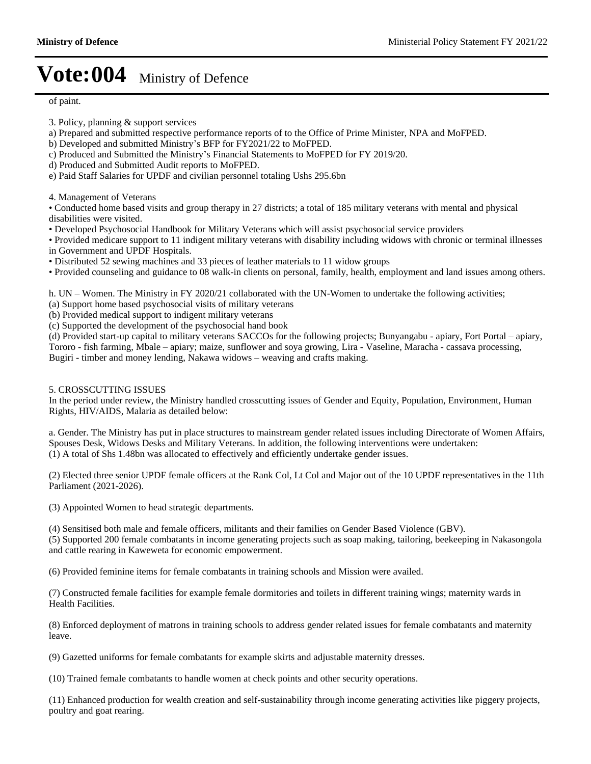of paint.

- 3. Policy, planning & support services
- a) Prepared and submitted respective performance reports of to the Office of Prime Minister, NPA and MoFPED.
- b) Developed and submitted Ministry's BFP for FY2021/22 to MoFPED.
- c) Produced and Submitted the Ministry's Financial Statements to MoFPED for FY 2019/20.
- d) Produced and Submitted Audit reports to MoFPED.
- e) Paid Staff Salaries for UPDF and civilian personnel totaling Ushs 295.6bn

4. Management of Veterans

Conducted home based visits and group therapy in 27 districts; a total of 185 military veterans with mental and physical disabilities were visited.

Developed Psychosocial Handbook for Military Veterans which will assist psychosocial service providers

Provided medicare support to 11 indigent military veterans with disability including widows with chronic or terminal illnesses in Government and UPDF Hospitals.

Distributed 52 sewing machines and 33 pieces of leather materials to 11 widow groups

Provided counseling and guidance to 08 walk-in clients on personal, family, health, employment and land issues among others.

h. UN  $-$  Women. The Ministry in FY 2020/21 collaborated with the UN-Women to undertake the following activities;

- (a) Support home based psychosocial visits of military veterans
- (b) Provided medical support to indigent military veterans
- (c) Supported the development of the psychosocial hand book

(d) Provided start-up capital to military veterans SACCOs for the following projects; Bunyangabu - apiary, Fort Portal – apiary, Tororo - fish farming, Mbale - apiary; maize, sunflower and soya growing, Lira - Vaseline, Maracha - cassava processing, Bugiri - timber and money lending, Nakawa widows - weaving and crafts making.

#### 5. CROSSCUTTING ISSUES

In the period under review, the Ministry handled crosscutting issues of Gender and Equity, Population, Environment, Human Rights, HIV/AIDS, Malaria as detailed below:

a. Gender. The Ministry has put in place structures to mainstream gender related issues including Directorate of Women Affairs, Spouses Desk, Widows Desks and Military Veterans. In addition, the following interventions were undertaken: (1) A total of Shs 1.48bn was allocated to effectively and efficiently undertake gender issues.

(2) Elected three senior UPDF female officers at the Rank Col, Lt Col and Major out of the 10 UPDF representatives in the 11th Parliament (2021-2026).

(3) Appointed Women to head strategic departments.

(4) Sensitised both male and female officers, militants and their families on Gender Based Violence (GBV).

(5) Supported 200 female combatants in income generating projects such as soap making, tailoring, beekeeping in Nakasongola and cattle rearing in Kaweweta for economic empowerment.

(6) Provided feminine items for female combatants in training schools and Mission were availed.

(7) Constructed female facilities for example female dormitories and toilets in different training wings; maternity wards in Health Facilities.

(8) Enforced deployment of matrons in training schools to address gender related issues for female combatants and maternity leave.

(9) Gazetted uniforms for female combatants for example skirts and adjustable maternity dresses.

(10) Trained female combatants to handle women at check points and other security operations.

(11) Enhanced production for wealth creation and self-sustainability through income generating activities like piggery projects, poultry and goat rearing.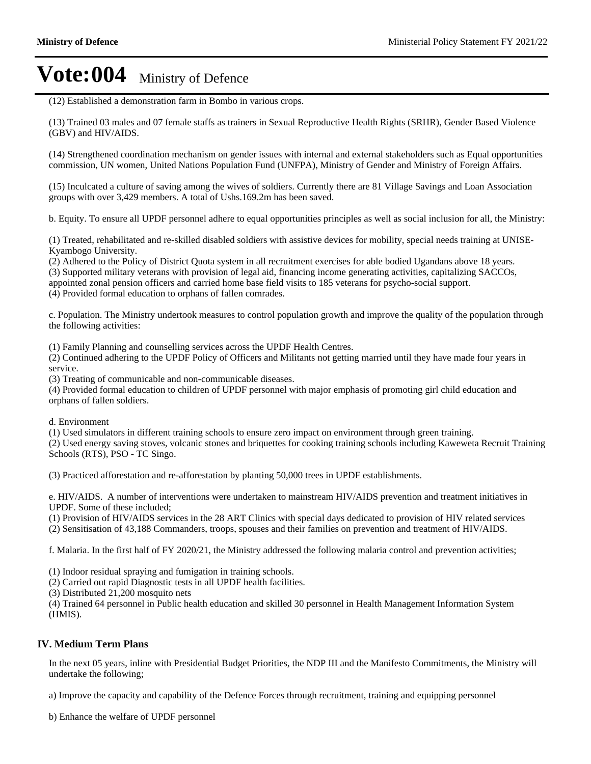(12) Established a demonstration farm in Bombo in various crops.

(13) Trained 03 males and 07 female staffs as trainers in Sexual Reproductive Health Rights (SRHR), Gender Based Violence (GBV) and HIV/AIDS.

(14) Strengthened coordination mechanism on gender issues with internal and external stakeholders such as Equal opportunities commission, UN women, United Nations Population Fund (UNFPA), Ministry of Gender and Ministry of Foreign Affairs.

(15) Inculcated a culture of saving among the wives of soldiers. Currently there are 81 Village Savings and Loan Association groups with over 3,429 members. A total of Ushs.169.2m has been saved.

b. Equity. To ensure all UPDF personnel adhere to equal opportunities principles as well as social inclusion for all, the Ministry:

(1) Treated, rehabilitated and re-skilled disabled soldiers with assistive devices for mobility, special needs training at UNISE-Kyambogo University.

(2) Adhered to the Policy of District Quota system in all recruitment exercises for able bodied Ugandans above 18 years.

(3) Supported military veterans with provision of legal aid, financing income generating activities, capitalizing SACCOs, appointed zonal pension officers and carried home base field visits to 185 veterans for psycho-social support.

(4) Provided formal education to orphans of fallen comrades.

c. Population. The Ministry undertook measures to control population growth and improve the quality of the population through the following activities:

(1) Family Planning and counselling services across the UPDF Health Centres.

(2) Continued adhering to the UPDF Policy of Officers and Militants not getting married until they have made four years in service.

(3) Treating of communicable and non-communicable diseases.

(4) Provided formal education to children of UPDF personnel with major emphasis of promoting girl child education and orphans of fallen soldiers.

d. Environment

(1) Used simulators in different training schools to ensure zero impact on environment through green training.

(2) Used energy saving stoves, volcanic stones and briquettes for cooking training schools including Kaweweta Recruit Training Schools (RTS), PSO - TC Singo.

(3) Practiced afforestation and re-afforestation by planting 50,000 trees in UPDF establishments.

e. HIV/AIDS. A number of interventions were undertaken to mainstream HIV/AIDS prevention and treatment initiatives in UPDF. Some of these included;

(1) Provision of HIV/AIDS services in the 28 ART Clinics with special days dedicated to provision of HIV related services (2) Sensitisation of 43,188 Commanders, troops, spouses and their families on prevention and treatment of HIV/AIDS.

f. Malaria. In the first half of FY 2020/21, the Ministry addressed the following malaria control and prevention activities;

(1) Indoor residual spraying and fumigation in training schools.

(2) Carried out rapid Diagnostic tests in all UPDF health facilities.

(3) Distributed 21,200 mosquito nets

(4) Trained 64 personnel in Public health education and skilled 30 personnel in Health Management Information System (HMIS).

#### **IV. Medium Term Plans**

In the next 05 years, inline with Presidential Budget Priorities, the NDP III and the Manifesto Commitments, the Ministry will undertake the following;

a) Improve the capacity and capability of the Defence Forces through recruitment, training and equipping personnel

b) Enhance the welfare of UPDF personnel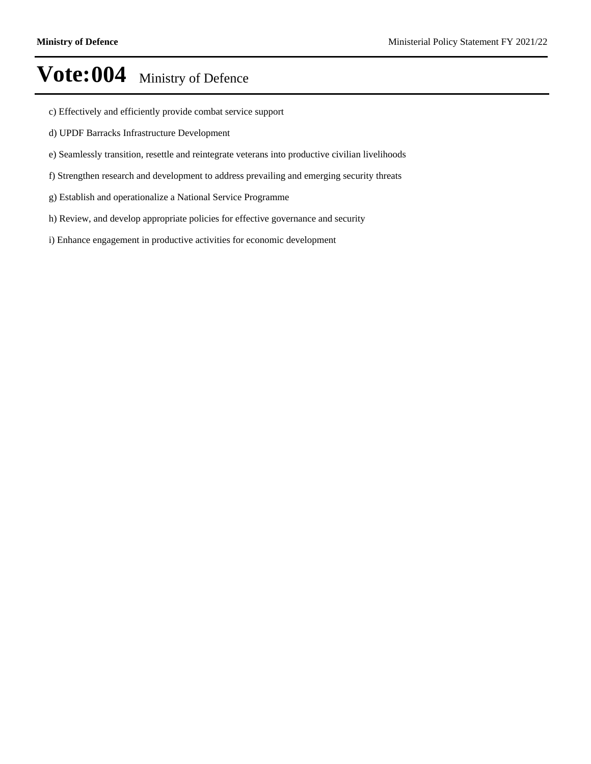- c) Effectively and efficiently provide combat service support
- d) UPDF Barracks Infrastructure Development
- e) Seamlessly transition, resettle and reintegrate veterans into productive civilian livelihoods
- f) Strengthen research and development to address prevailing and emerging security threats
- g) Establish and operationalize a National Service Programme
- h) Review, and develop appropriate policies for effective governance and security
- i) Enhance engagement in productive activities for economic development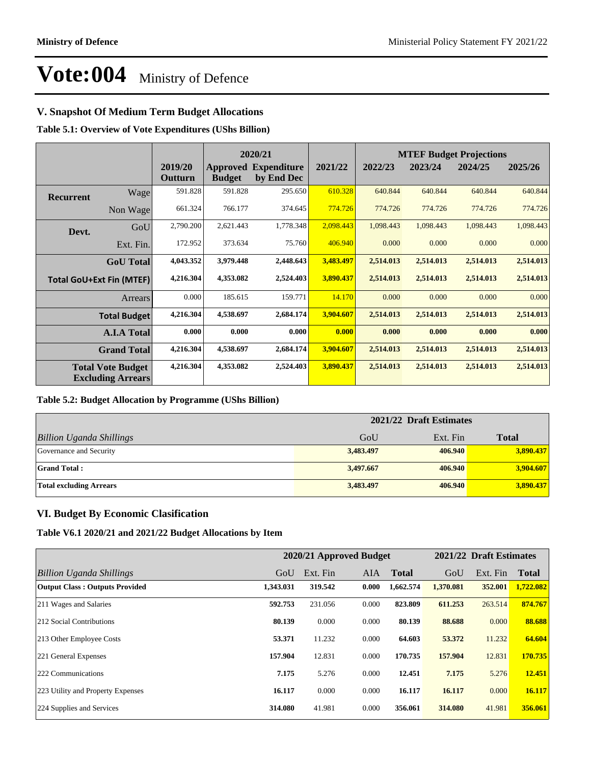### **V. Snapshot Of Medium Term Budget Allocations**

**Table 5.1: Overview of Vote Expenditures (UShs Billion)**

|                  |                                                      |                    | 2020/21                          |                                  |           | <b>MTEF Budget Projections</b> |           |           |           |  |
|------------------|------------------------------------------------------|--------------------|----------------------------------|----------------------------------|-----------|--------------------------------|-----------|-----------|-----------|--|
|                  |                                                      | 2019/20<br>Outturn | <b>Approved</b><br><b>Budget</b> | <b>Expenditure</b><br>by End Dec | 2021/22   | 2022/23                        | 2023/24   | 2024/25   | 2025/26   |  |
| <b>Recurrent</b> | Wage                                                 | 591.828            | 591.828                          | 295.650                          | 610.328   | 640.844                        | 640.844   | 640.844   | 640.844   |  |
|                  | Non Wage                                             | 661.324            | 766.177                          | 374.645                          | 774.726   | 774.726                        | 774.726   | 774.726   | 774.726   |  |
| Devt.            | GoU                                                  | 2,790.200          | 2,621.443                        | 1,778.348                        | 2,098.443 | 1,098.443                      | 1,098.443 | 1,098.443 | 1,098.443 |  |
|                  | Ext. Fin.                                            | 172.952            | 373.634                          | 75.760                           | 406.940   | 0.000                          | 0.000     | 0.000     | 0.000     |  |
|                  | <b>GoU</b> Total                                     | 4,043.352          | 3,979.448                        | 2,448.643                        | 3,483.497 | 2,514.013                      | 2,514.013 | 2,514.013 | 2,514.013 |  |
|                  | <b>Total GoU+Ext Fin (MTEF)</b>                      | 4,216.304          | 4,353.082                        | 2,524.403                        | 3,890.437 | 2,514.013                      | 2,514.013 | 2,514.013 | 2,514.013 |  |
|                  | Arrears                                              | 0.000              | 185.615                          | 159.771                          | 14.170    | 0.000                          | 0.000     | 0.000     | 0.000     |  |
|                  | <b>Total Budget</b>                                  | 4,216.304          | 4,538.697                        | 2,684.174                        | 3,904.607 | 2,514.013                      | 2,514.013 | 2,514.013 | 2,514.013 |  |
|                  | <b>A.I.A Total</b>                                   | 0.000              | 0.000                            | 0.000                            | 0.000     | 0.000                          | 0.000     | 0.000     | 0.000     |  |
|                  | <b>Grand Total</b>                                   | 4,216.304          | 4,538.697                        | 2,684.174                        | 3,904.607 | 2,514.013                      | 2,514.013 | 2,514.013 | 2,514.013 |  |
|                  | <b>Total Vote Budget</b><br><b>Excluding Arrears</b> | 4,216.304          | 4,353.082                        | 2,524.403                        | 3,890.437 | 2,514.013                      | 2,514.013 | 2,514.013 | 2,514.013 |  |

#### **Table 5.2: Budget Allocation by Programme (UShs Billion)**

|                                 | 2021/22 Draft Estimates |          |              |
|---------------------------------|-------------------------|----------|--------------|
| <b>Billion Uganda Shillings</b> | GoU                     | Ext. Fin | <b>Total</b> |
| Governance and Security         | 3,483.497               | 406.940  | 3,890.437    |
| <b>Grand Total:</b>             | 3,497.667               | 406.940  | 3,904.607    |
| Total excluding Arrears         | 3,483.497               | 406.940  | 3,890.437    |

### **VI. Budget By Economic Clasification**

**Table V6.1 2020/21 and 2021/22 Budget Allocations by Item**

|                                       |           |          | 2020/21 Approved Budget |              |           | 2021/22 Draft Estimates |              |
|---------------------------------------|-----------|----------|-------------------------|--------------|-----------|-------------------------|--------------|
| Billion Uganda Shillings              | GoU       | Ext. Fin | AIA.                    | <b>Total</b> | GoU       | Ext. Fin                | <b>Total</b> |
| <b>Output Class: Outputs Provided</b> | 1,343.031 | 319.542  | 0.000                   | 1,662.574    | 1,370.081 | 352.001                 | 1,722.082    |
| 211 Wages and Salaries                | 592.753   | 231.056  | 0.000                   | 823.809      | 611.253   | 263.514                 | 874.767      |
| 212 Social Contributions              | 80.139    | 0.000    | 0.000                   | 80.139       | 88.688    | 0.000                   | 88.688       |
| 213 Other Employee Costs              | 53.371    | 11.232   | 0.000                   | 64.603       | 53,372    | 11.232                  | 64.604       |
| 221 General Expenses                  | 157.904   | 12.831   | 0.000                   | 170.735      | 157.904   | 12.831                  | 170.735      |
| 222 Communications                    | 7.175     | 5.276    | 0.000                   | 12.451       | 7.175     | 5.276                   | 12.451       |
| 223 Utility and Property Expenses     | 16.117    | 0.000    | 0.000                   | 16.117       | 16.117    | 0.000                   | 16.117       |
| 224 Supplies and Services             | 314.080   | 41.981   | 0.000                   | 356.061      | 314.080   | 41.981                  | 356.061      |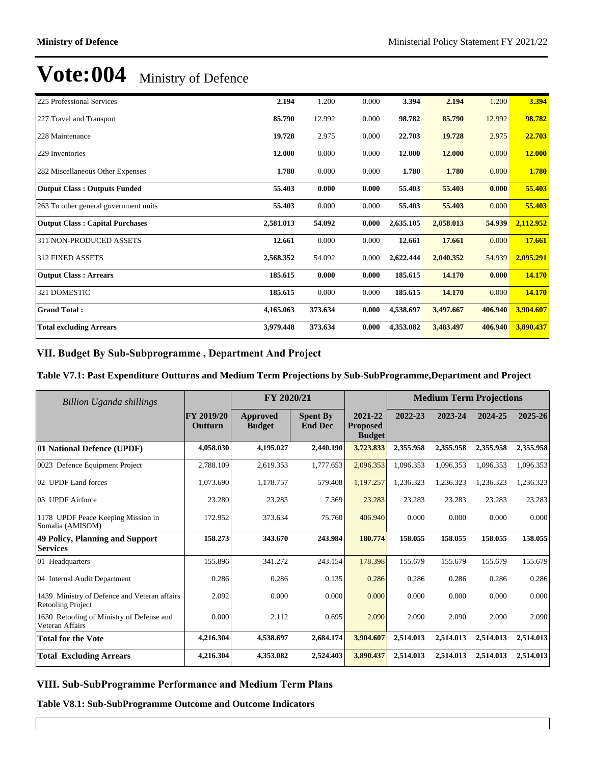| 225 Professional Services              | 2.194     | 1.200   | 0.000 | 3.394     | 2.194     | 1.200   | 3.394         |
|----------------------------------------|-----------|---------|-------|-----------|-----------|---------|---------------|
| 227 Travel and Transport               | 85.790    | 12.992  | 0.000 | 98.782    | 85.790    | 12.992  | 98.782        |
| 228 Maintenance                        | 19.728    | 2.975   | 0.000 | 22.703    | 19.728    | 2.975   | 22.703        |
| 229 Inventories                        | 12.000    | 0.000   | 0.000 | 12.000    | 12.000    | 0.000   | <b>12.000</b> |
| 282 Miscellaneous Other Expenses       | 1.780     | 0.000   | 0.000 | 1.780     | 1.780     | 0.000   | 1.780         |
| <b>Output Class: Outputs Funded</b>    | 55.403    | 0.000   | 0.000 | 55.403    | 55.403    | 0.000   | 55.403        |
| 263 To other general government units  | 55.403    | 0.000   | 0.000 | 55.403    | 55.403    | 0.000   | 55.403        |
| <b>Output Class: Capital Purchases</b> | 2,581.013 | 54.092  | 0.000 | 2,635.105 | 2,058.013 | 54.939  | 2,112.952     |
| 311 NON-PRODUCED ASSETS                | 12.661    | 0.000   | 0.000 | 12.661    | 17.661    | 0.000   | 17.661        |
| <b>312 FIXED ASSETS</b>                | 2,568.352 | 54.092  | 0.000 | 2,622,444 | 2,040.352 | 54.939  | 2,095.291     |
| <b>Output Class: Arrears</b>           | 185.615   | 0.000   | 0.000 | 185.615   | 14.170    | 0.000   | 14.170        |
| 321 DOMESTIC                           | 185.615   | 0.000   | 0.000 | 185.615   | 14.170    | 0.000   | 14.170        |
| <b>Grand Total:</b>                    | 4,165.063 | 373.634 | 0.000 | 4,538.697 | 3,497.667 | 406.940 | 3,904.607     |
| <b>Total excluding Arrears</b>         | 3,979.448 | 373.634 | 0.000 | 4,353.082 | 3,483.497 | 406.940 | 3,890.437     |

### VII. Budget By Sub-Subprogramme, Department And Project

### **Table V7.1: Past Expenditure Outturns and Medium Term Projections by Sub-SubProgramme,Department and Project**

| Billion Uganda shillings                                          | FY 2020/21                   |                           |                                   | <b>Medium Term Projections</b>              |           |           |           |           |
|-------------------------------------------------------------------|------------------------------|---------------------------|-----------------------------------|---------------------------------------------|-----------|-----------|-----------|-----------|
|                                                                   | FY 2019/20<br><b>Outturn</b> | Approved<br><b>Budget</b> | <b>Spent By</b><br><b>End Dec</b> | 2021-22<br><b>Proposed</b><br><b>Budget</b> | 2022-23   | 2023-24   | 2024-25   | 2025-26   |
| 01 National Defence (UPDF)                                        | 4,058,030                    | 4,195.027                 | 2,440.190                         | 3,723.833                                   | 2,355.958 | 2,355.958 | 2,355.958 | 2,355.958 |
| 0023 Defence Equipment Project                                    | 2,788.109                    | 2,619.353                 | 1,777.653                         | 2,096.353                                   | 1,096.353 | 1,096.353 | 1,096.353 | 1,096.353 |
| 02 UPDF Land forces                                               | 1,073.690                    | 1,178.757                 | 579.408                           | 1,197.257                                   | 1,236.323 | 1,236.323 | 1,236.323 | 1,236.323 |
| 03 UPDF Airforce                                                  | 23.280                       | 23.283                    | 7.369                             | 23.283                                      | 23.283    | 23.283    | 23.283    | 23.283    |
| 1178 UPDF Peace Keeping Mission in<br>Somalia (AMISOM)            | 172.952                      | 373.634                   | 75.760                            | 406.940                                     | 0.000     | 0.000     | 0.000     | 0.000     |
| 49 Policy, Planning and Support<br><b>Services</b>                | 158.273                      | 343.670                   | 243.984                           | 180.774                                     | 158.055   | 158.055   | 158.055   | 158.055   |
| 01 Headquarters                                                   | 155.896                      | 341.272                   | 243.154                           | 178.398                                     | 155.679   | 155.679   | 155.679   | 155.679   |
| 04 Internal Audit Department                                      | 0.286                        | 0.286                     | 0.135                             | 0.286                                       | 0.286     | 0.286     | 0.286     | 0.286     |
| 1439 Ministry of Defence and Veteran affairs<br>Retooling Project | 2.092                        | 0.000                     | 0.000                             | 0.000                                       | 0.000     | 0.000     | 0.000     | 0.000     |
| 1630 Retooling of Ministry of Defense and<br>Veteran Affairs      | 0.000                        | 2.112                     | 0.695                             | 2.090                                       | 2.090     | 2.090     | 2.090     | 2.090     |
| <b>Total for the Vote</b>                                         | 4,216.304                    | 4,538.697                 | 2,684.174                         | 3,904.607                                   | 2,514.013 | 2,514.013 | 2,514.013 | 2,514.013 |
| <b>Total Excluding Arrears</b>                                    | 4.216.304                    | 4,353.082                 | 2,524.403                         | 3,890.437                                   | 2.514.013 | 2.514.013 | 2.514.013 | 2,514.013 |

### **VIII. Sub-SubProgramme Performance and Medium Term Plans**

**Table V8.1: Sub-SubProgramme Outcome and Outcome Indicators**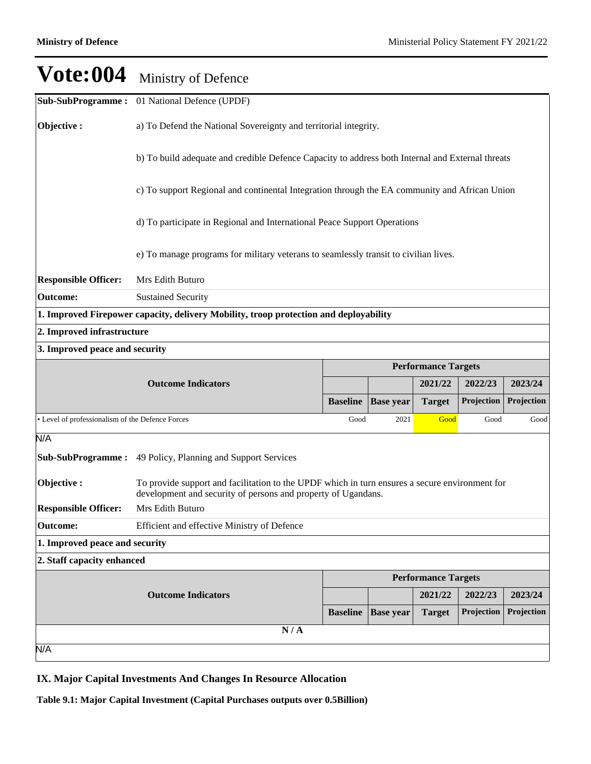|                                                  | <b>Sub-SubProgramme:</b> 01 National Defence (UPDF)                                                                                                             |                 |                  |                            |            |            |  |  |  |
|--------------------------------------------------|-----------------------------------------------------------------------------------------------------------------------------------------------------------------|-----------------|------------------|----------------------------|------------|------------|--|--|--|
| Objective:                                       | a) To Defend the National Sovereignty and territorial integrity.                                                                                                |                 |                  |                            |            |            |  |  |  |
|                                                  | b) To build adequate and credible Defence Capacity to address both Internal and External threats                                                                |                 |                  |                            |            |            |  |  |  |
|                                                  | c) To support Regional and continental Integration through the EA community and African Union                                                                   |                 |                  |                            |            |            |  |  |  |
|                                                  | d) To participate in Regional and International Peace Support Operations                                                                                        |                 |                  |                            |            |            |  |  |  |
|                                                  | e) To manage programs for military veterans to seamlessly transit to civilian lives.                                                                            |                 |                  |                            |            |            |  |  |  |
| <b>Responsible Officer:</b>                      | Mrs Edith Buturo                                                                                                                                                |                 |                  |                            |            |            |  |  |  |
| <b>Outcome:</b>                                  | <b>Sustained Security</b>                                                                                                                                       |                 |                  |                            |            |            |  |  |  |
|                                                  | 1. Improved Firepower capacity, delivery Mobility, troop protection and deployability                                                                           |                 |                  |                            |            |            |  |  |  |
| 2. Improved infrastructure                       |                                                                                                                                                                 |                 |                  |                            |            |            |  |  |  |
| 3. Improved peace and security                   |                                                                                                                                                                 |                 |                  |                            |            |            |  |  |  |
|                                                  |                                                                                                                                                                 |                 |                  | <b>Performance Targets</b> |            |            |  |  |  |
|                                                  | <b>Outcome Indicators</b>                                                                                                                                       |                 |                  | 2021/22                    | 2022/23    | 2023/24    |  |  |  |
|                                                  |                                                                                                                                                                 | <b>Baseline</b> | <b>Base year</b> | <b>Target</b>              | Projection | Projection |  |  |  |
| • Level of professionalism of the Defence Forces |                                                                                                                                                                 | Good            | 2021             | Good                       | Good       | Good       |  |  |  |
| N/A                                              |                                                                                                                                                                 |                 |                  |                            |            |            |  |  |  |
| <b>Sub-SubProgramme:</b>                         | 49 Policy, Planning and Support Services                                                                                                                        |                 |                  |                            |            |            |  |  |  |
| Objective:                                       | To provide support and facilitation to the UPDF which in turn ensures a secure environment for<br>development and security of persons and property of Ugandans. |                 |                  |                            |            |            |  |  |  |
| <b>Responsible Officer:</b>                      | Mrs Edith Buturo                                                                                                                                                |                 |                  |                            |            |            |  |  |  |
| <b>Outcome:</b>                                  | Efficient and effective Ministry of Defence                                                                                                                     |                 |                  |                            |            |            |  |  |  |
| 1. Improved peace and security                   |                                                                                                                                                                 |                 |                  |                            |            |            |  |  |  |
| 2. Staff capacity enhanced                       |                                                                                                                                                                 |                 |                  |                            |            |            |  |  |  |
|                                                  |                                                                                                                                                                 |                 |                  | <b>Performance Targets</b> |            |            |  |  |  |
|                                                  | <b>Outcome Indicators</b>                                                                                                                                       |                 |                  | 2021/22                    | 2022/23    | 2023/24    |  |  |  |
|                                                  |                                                                                                                                                                 | <b>Baseline</b> | <b>Base year</b> | <b>Target</b>              | Projection | Projection |  |  |  |
|                                                  | N/A                                                                                                                                                             |                 |                  |                            |            |            |  |  |  |
| N/A                                              |                                                                                                                                                                 |                 |                  |                            |            |            |  |  |  |

### **IX. Major Capital Investments And Changes In Resource Allocation**

**Table 9.1: Major Capital Investment (Capital Purchases outputs over 0.5Billion)**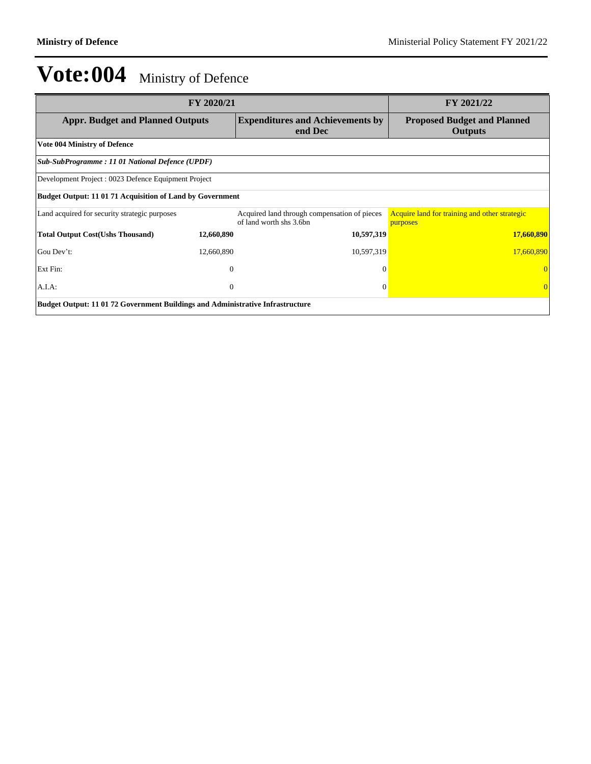| FY 2020/21                                                                            | FY 2021/22   |                                                                         |                                                           |  |  |  |
|---------------------------------------------------------------------------------------|--------------|-------------------------------------------------------------------------|-----------------------------------------------------------|--|--|--|
| <b>Appr. Budget and Planned Outputs</b>                                               |              | <b>Expenditures and Achievements by</b><br>end Dec                      | <b>Proposed Budget and Planned</b><br><b>Outputs</b>      |  |  |  |
| <b>Vote 004 Ministry of Defence</b>                                                   |              |                                                                         |                                                           |  |  |  |
| Sub-SubProgramme: 11 01 National Defence (UPDF)                                       |              |                                                                         |                                                           |  |  |  |
| Development Project : 0023 Defence Equipment Project                                  |              |                                                                         |                                                           |  |  |  |
| <b>Budget Output: 11 01 71 Acquisition of Land by Government</b>                      |              |                                                                         |                                                           |  |  |  |
| Land acquired for security strategic purposes                                         |              | Acquired land through compensation of pieces<br>of land worth shs 3.6bn | Acquire land for training and other strategic<br>purposes |  |  |  |
| <b>Total Output Cost(Ushs Thousand)</b>                                               | 12,660,890   | 10,597,319                                                              | 17,660,890                                                |  |  |  |
| Gou Dev't:                                                                            | 12,660,890   | 10,597,319                                                              | 17,660,890                                                |  |  |  |
| Ext Fin:                                                                              | $\mathbf{0}$ | $\mathbf{0}$                                                            |                                                           |  |  |  |
| $A.I.A$ :                                                                             | $\mathbf{0}$ | $\mathbf{0}$                                                            |                                                           |  |  |  |
| <b>Budget Output: 11 01 72 Government Buildings and Administrative Infrastructure</b> |              |                                                                         |                                                           |  |  |  |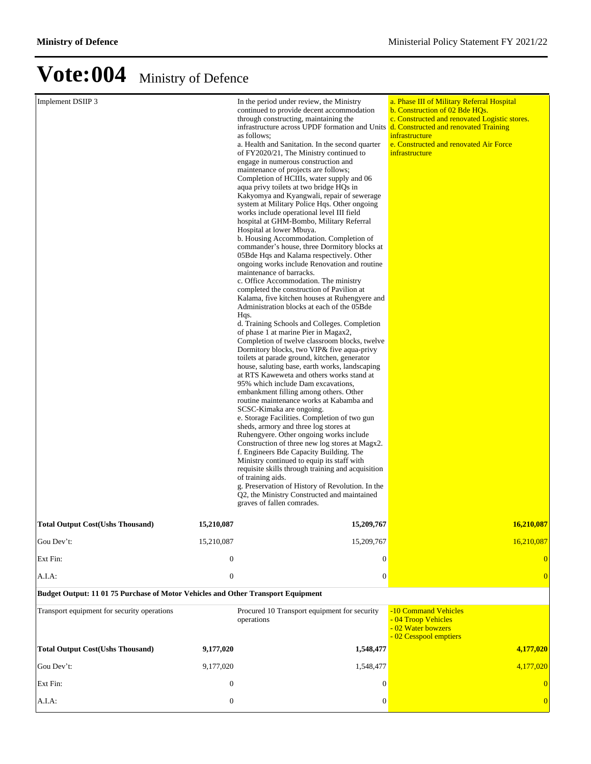| Implement DSIIP 3                                                                |                  | In the period under review, the Ministry<br>continued to provide decent accommodation<br>through constructing, maintaining the<br>infrastructure across UPDF formation and Units<br>as follows;<br>a. Health and Sanitation. In the second quarter<br>of FY2020/21, The Ministry continued to<br>engage in numerous construction and<br>maintenance of projects are follows;<br>Completion of HCIIIs, water supply and 06<br>aqua privy toilets at two bridge HQs in<br>Kakyomya and Kyangwali, repair of sewerage<br>system at Military Police Hqs. Other ongoing<br>works include operational level III field<br>hospital at GHM-Bombo, Military Referral<br>Hospital at lower Mbuya.<br>b. Housing Accommodation. Completion of<br>commander's house, three Dormitory blocks at<br>05Bde Hqs and Kalama respectively. Other<br>ongoing works include Renovation and routine<br>maintenance of barracks.<br>c. Office Accommodation. The ministry<br>completed the construction of Pavilion at<br>Kalama, five kitchen houses at Ruhengyere and<br>Administration blocks at each of the 05Bde<br>Hqs.<br>d. Training Schools and Colleges. Completion<br>of phase 1 at marine Pier in Magax2,<br>Completion of twelve classroom blocks, twelve<br>Dormitory blocks, two VIP& five aqua-privy<br>toilets at parade ground, kitchen, generator<br>house, saluting base, earth works, landscaping<br>at RTS Kaweweta and others works stand at<br>95% which include Dam excavations,<br>embankment filling among others. Other<br>routine maintenance works at Kabamba and<br>SCSC-Kimaka are ongoing.<br>e. Storage Facilities. Completion of two gun<br>sheds, armory and three log stores at<br>Ruhengyere. Other ongoing works include<br>Construction of three new log stores at Magx2.<br>f. Engineers Bde Capacity Building. The<br>Ministry continued to equip its staff with<br>requisite skills through training and acquisition<br>of training aids.<br>g. Preservation of History of Revolution. In the<br>Q2, the Ministry Constructed and maintained<br>graves of fallen comrades. | a. Phase III of Military Referral Hospital<br>b. Construction of 02 Bde HOs.<br>c. Constructed and renovated Logistic stores.<br>d. Constructed and renovated Training<br>infrastructure<br>e. Constructed and renovated Air Force<br>infrastructure |
|----------------------------------------------------------------------------------|------------------|-------------------------------------------------------------------------------------------------------------------------------------------------------------------------------------------------------------------------------------------------------------------------------------------------------------------------------------------------------------------------------------------------------------------------------------------------------------------------------------------------------------------------------------------------------------------------------------------------------------------------------------------------------------------------------------------------------------------------------------------------------------------------------------------------------------------------------------------------------------------------------------------------------------------------------------------------------------------------------------------------------------------------------------------------------------------------------------------------------------------------------------------------------------------------------------------------------------------------------------------------------------------------------------------------------------------------------------------------------------------------------------------------------------------------------------------------------------------------------------------------------------------------------------------------------------------------------------------------------------------------------------------------------------------------------------------------------------------------------------------------------------------------------------------------------------------------------------------------------------------------------------------------------------------------------------------------------------------------------------------------------------------------------------------------------------------------------------------------|------------------------------------------------------------------------------------------------------------------------------------------------------------------------------------------------------------------------------------------------------|
| Total Output Cost(Ushs Thousand)                                                 | 15,210,087       | 15,209,767                                                                                                                                                                                                                                                                                                                                                                                                                                                                                                                                                                                                                                                                                                                                                                                                                                                                                                                                                                                                                                                                                                                                                                                                                                                                                                                                                                                                                                                                                                                                                                                                                                                                                                                                                                                                                                                                                                                                                                                                                                                                                      | 16.210.087                                                                                                                                                                                                                                           |
| Gou Dev't:                                                                       | 15,210,087       | 15,209,767                                                                                                                                                                                                                                                                                                                                                                                                                                                                                                                                                                                                                                                                                                                                                                                                                                                                                                                                                                                                                                                                                                                                                                                                                                                                                                                                                                                                                                                                                                                                                                                                                                                                                                                                                                                                                                                                                                                                                                                                                                                                                      | 16,210,087                                                                                                                                                                                                                                           |
| Ext Fin:                                                                         | $\boldsymbol{0}$ | $\Omega$                                                                                                                                                                                                                                                                                                                                                                                                                                                                                                                                                                                                                                                                                                                                                                                                                                                                                                                                                                                                                                                                                                                                                                                                                                                                                                                                                                                                                                                                                                                                                                                                                                                                                                                                                                                                                                                                                                                                                                                                                                                                                        |                                                                                                                                                                                                                                                      |
| A.I.A:                                                                           | $\boldsymbol{0}$ | $\theta$                                                                                                                                                                                                                                                                                                                                                                                                                                                                                                                                                                                                                                                                                                                                                                                                                                                                                                                                                                                                                                                                                                                                                                                                                                                                                                                                                                                                                                                                                                                                                                                                                                                                                                                                                                                                                                                                                                                                                                                                                                                                                        |                                                                                                                                                                                                                                                      |
| Budget Output: 11 01 75 Purchase of Motor Vehicles and Other Transport Equipment |                  |                                                                                                                                                                                                                                                                                                                                                                                                                                                                                                                                                                                                                                                                                                                                                                                                                                                                                                                                                                                                                                                                                                                                                                                                                                                                                                                                                                                                                                                                                                                                                                                                                                                                                                                                                                                                                                                                                                                                                                                                                                                                                                 |                                                                                                                                                                                                                                                      |
| Transport equipment for security operations                                      |                  | Procured 10 Transport equipment for security<br>operations                                                                                                                                                                                                                                                                                                                                                                                                                                                                                                                                                                                                                                                                                                                                                                                                                                                                                                                                                                                                                                                                                                                                                                                                                                                                                                                                                                                                                                                                                                                                                                                                                                                                                                                                                                                                                                                                                                                                                                                                                                      | -10 Command Vehicles<br>- 04 Troop Vehicles<br>- 02 Water bowzers<br>- 02 Cesspool emptiers                                                                                                                                                          |
| <b>Total Output Cost(Ushs Thousand)</b>                                          | 9,177,020        | 1,548,477                                                                                                                                                                                                                                                                                                                                                                                                                                                                                                                                                                                                                                                                                                                                                                                                                                                                                                                                                                                                                                                                                                                                                                                                                                                                                                                                                                                                                                                                                                                                                                                                                                                                                                                                                                                                                                                                                                                                                                                                                                                                                       | 4,177,020                                                                                                                                                                                                                                            |
| Gou Dev't:                                                                       | 9,177,020        | 1,548,477                                                                                                                                                                                                                                                                                                                                                                                                                                                                                                                                                                                                                                                                                                                                                                                                                                                                                                                                                                                                                                                                                                                                                                                                                                                                                                                                                                                                                                                                                                                                                                                                                                                                                                                                                                                                                                                                                                                                                                                                                                                                                       | 4,177,020                                                                                                                                                                                                                                            |
| Ext Fin:                                                                         | $\boldsymbol{0}$ | 0                                                                                                                                                                                                                                                                                                                                                                                                                                                                                                                                                                                                                                                                                                                                                                                                                                                                                                                                                                                                                                                                                                                                                                                                                                                                                                                                                                                                                                                                                                                                                                                                                                                                                                                                                                                                                                                                                                                                                                                                                                                                                               |                                                                                                                                                                                                                                                      |
| A.I.A:                                                                           | $\boldsymbol{0}$ | $\theta$                                                                                                                                                                                                                                                                                                                                                                                                                                                                                                                                                                                                                                                                                                                                                                                                                                                                                                                                                                                                                                                                                                                                                                                                                                                                                                                                                                                                                                                                                                                                                                                                                                                                                                                                                                                                                                                                                                                                                                                                                                                                                        |                                                                                                                                                                                                                                                      |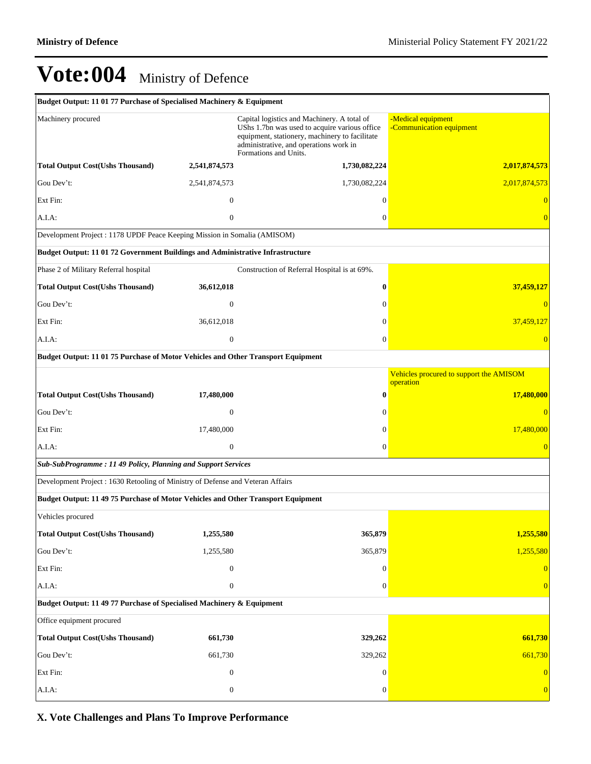| Budget Output: 11 01 77 Purchase of Specialised Machinery & Equipment            |                  |                                                                                                                                                                                                                   |                                                      |  |  |  |  |  |
|----------------------------------------------------------------------------------|------------------|-------------------------------------------------------------------------------------------------------------------------------------------------------------------------------------------------------------------|------------------------------------------------------|--|--|--|--|--|
| Machinery procured                                                               |                  | Capital logistics and Machinery. A total of<br>UShs 1.7bn was used to acquire various office<br>equipment, stationery, machinery to facilitate<br>administrative, and operations work in<br>Formations and Units. | -Medical equipment<br>-Communication equipment       |  |  |  |  |  |
| <b>Total Output Cost(Ushs Thousand)</b>                                          | 2,541,874,573    | 1,730,082,224                                                                                                                                                                                                     | 2,017,874,573                                        |  |  |  |  |  |
| Gou Dev't:                                                                       | 2,541,874,573    | 1,730,082,224                                                                                                                                                                                                     | 2,017,874,573                                        |  |  |  |  |  |
| Ext Fin:                                                                         | $\overline{0}$   | $\mathbf{0}$                                                                                                                                                                                                      | $\overline{0}$                                       |  |  |  |  |  |
| A.I.A:                                                                           | $\mathbf{0}$     | $\boldsymbol{0}$                                                                                                                                                                                                  | $\overline{0}$                                       |  |  |  |  |  |
| Development Project: 1178 UPDF Peace Keeping Mission in Somalia (AMISOM)         |                  |                                                                                                                                                                                                                   |                                                      |  |  |  |  |  |
| Budget Output: 11 01 72 Government Buildings and Administrative Infrastructure   |                  |                                                                                                                                                                                                                   |                                                      |  |  |  |  |  |
| Phase 2 of Military Referral hospital                                            |                  | Construction of Referral Hospital is at 69%.                                                                                                                                                                      |                                                      |  |  |  |  |  |
| <b>Total Output Cost(Ushs Thousand)</b>                                          | 36,612,018       | $\bf{0}$                                                                                                                                                                                                          | 37,459,127                                           |  |  |  |  |  |
| Gou Dev't:                                                                       | $\mathbf{0}$     | $\mathbf{0}$                                                                                                                                                                                                      | $\overline{0}$                                       |  |  |  |  |  |
| Ext Fin:                                                                         | 36,612,018       | $\mathbf{0}$                                                                                                                                                                                                      | 37,459,127                                           |  |  |  |  |  |
| A.I.A:                                                                           | $\boldsymbol{0}$ | $\boldsymbol{0}$                                                                                                                                                                                                  | $\overline{0}$                                       |  |  |  |  |  |
| Budget Output: 11 01 75 Purchase of Motor Vehicles and Other Transport Equipment |                  |                                                                                                                                                                                                                   |                                                      |  |  |  |  |  |
|                                                                                  |                  |                                                                                                                                                                                                                   | Vehicles procured to support the AMISOM<br>operation |  |  |  |  |  |
| <b>Total Output Cost(Ushs Thousand)</b>                                          | 17,480,000       | $\bf{0}$                                                                                                                                                                                                          | 17,480,000                                           |  |  |  |  |  |
| Gou Dev't:                                                                       | $\theta$         | $\mathbf{0}$                                                                                                                                                                                                      | $\overline{0}$                                       |  |  |  |  |  |
| Ext Fin:                                                                         | 17,480,000       | $\mathbf{0}$                                                                                                                                                                                                      | 17,480,000                                           |  |  |  |  |  |
| A.I.A.                                                                           | $\mathbf{0}$     | $\mathbf{0}$                                                                                                                                                                                                      | $\overline{0}$                                       |  |  |  |  |  |
| Sub-SubProgramme: 11 49 Policy, Planning and Support Services                    |                  |                                                                                                                                                                                                                   |                                                      |  |  |  |  |  |
| Development Project: 1630 Retooling of Ministry of Defense and Veteran Affairs   |                  |                                                                                                                                                                                                                   |                                                      |  |  |  |  |  |
| Budget Output: 11 49 75 Purchase of Motor Vehicles and Other Transport Equipment |                  |                                                                                                                                                                                                                   |                                                      |  |  |  |  |  |
| Vehicles procured                                                                |                  |                                                                                                                                                                                                                   |                                                      |  |  |  |  |  |
| <b>Total Output Cost(Ushs Thousand)</b>                                          | 1,255,580        | 365,879                                                                                                                                                                                                           | 1,255,580                                            |  |  |  |  |  |
| Gou Dev't:                                                                       | 1,255,580        | 365,879                                                                                                                                                                                                           | 1,255,580                                            |  |  |  |  |  |
| Ext Fin:                                                                         | $\mathbf{0}$     | $\overline{0}$                                                                                                                                                                                                    | $\overline{0}$                                       |  |  |  |  |  |
| A.I.A:                                                                           | $\mathbf{0}$     | $\overline{0}$                                                                                                                                                                                                    | $\overline{0}$                                       |  |  |  |  |  |
| Budget Output: 11 49 77 Purchase of Specialised Machinery & Equipment            |                  |                                                                                                                                                                                                                   |                                                      |  |  |  |  |  |
| Office equipment procured                                                        |                  |                                                                                                                                                                                                                   |                                                      |  |  |  |  |  |
| <b>Total Output Cost(Ushs Thousand)</b>                                          | 661,730          | 329,262                                                                                                                                                                                                           | 661,730                                              |  |  |  |  |  |
| Gou Dev't:                                                                       | 661,730          | 329,262                                                                                                                                                                                                           | 661,730                                              |  |  |  |  |  |
| Ext Fin:                                                                         | $\mathbf{0}$     | $\mathbf{0}$                                                                                                                                                                                                      | $\overline{0}$                                       |  |  |  |  |  |
| A.I.A:                                                                           | $\boldsymbol{0}$ | $\mathbf{0}$                                                                                                                                                                                                      | $\overline{0}$                                       |  |  |  |  |  |

### **X. Vote Challenges and Plans To Improve Performance**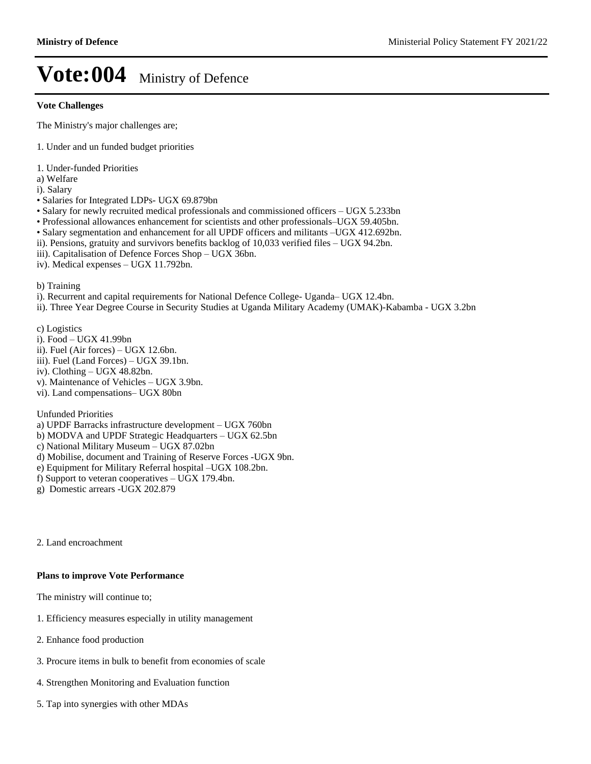#### **Vote Challenges**

The Ministry's major challenges are;

- 1. Under and un funded budget priorities
- 1. Under-funded Priorities
- a) Welfare
- i). Salary
- Salaries for Integrated LDPs- UGX 69.879bn
- Salary for newly recruited medical professionals and commissioned officers  $-$  UGX 5.233bn
- Professional allowances enhancement for scientists and other professionals-UGX 59.405bn.
- Salary segmentation and enhancement for all UPDF officers and militants -UGX 412.692bn.
- ii). Pensions, gratuity and survivors benefits backlog of 10,033 verified files UGX 94.2bn.
- iii). Capitalisation of Defence Forces Shop UGX 36bn.
- iv). Medical expenses UGX 11.792bn.

b) Training

- i). Recurrent and capital requirements for National Defence College- Uganda- UGX 12.4bn.
- ii). Three Year Degree Course in Security Studies at Uganda Military Academy (UMAK)-Kabamba UGX 3.2bn

c) Logistics

- i). Food UGX 41.99bn
- ii). Fuel (Air forces)  $-$  UGX 12.6bn.
- iii). Fuel (Land Forces)  $-$  UGX 39.1bn.
- iv). Clothing  $-\text{UGX }48.82\text{bn}$ .
- v). Maintenance of Vehicles UGX 3.9bn.
- vi). Land compensations- UGX 80bn

Unfunded Priorities

- a) UPDF Barracks infrastructure development UGX 760bn
- b) MODVA and UPDF Strategic Headquarters UGX 62.5bn
- c) National Military Museum UGX 87.02bn
- d) Mobilise, document and Training of Reserve Forces -UGX 9bn.
- e) Equipment for Military Referral hospital -UGX 108.2bn.
- f) Support to veteran cooperatives  $-\text{UGX}$  179.4bn.
- g) Domestic arrears -UGX 202.879

2. Land encroachment

### **Plans to improve Vote Performance**

The ministry will continue to;

- 1. Efficiency measures especially in utility management
- 2. Enhance food production
- 3. Procure items in bulk to benefit from economies of scale
- 4. Strengthen Monitoring and Evaluation function
- 5. Tap into synergies with other MDAs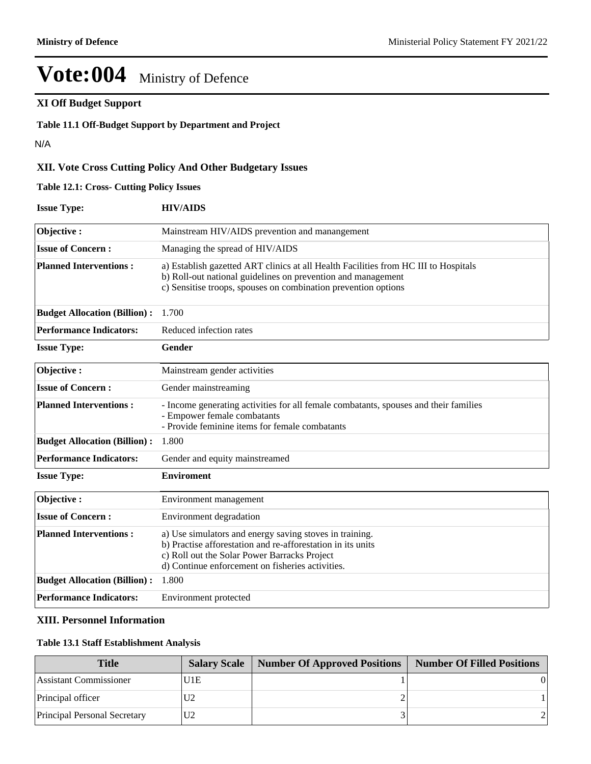### **XI Off Budget Support**

**Table 11.1 Off-Budget Support by Department and Project**

N/A

### **XII. Vote Cross Cutting Policy And Other Budgetary Issues**

**Table 12.1: Cross- Cutting Policy Issues**

| <b>Issue Type:</b>                  | <b>HIV/AIDS</b>                                                                                                                                                                                                            |
|-------------------------------------|----------------------------------------------------------------------------------------------------------------------------------------------------------------------------------------------------------------------------|
| Objective:                          | Mainstream HIV/AIDS prevention and manangement                                                                                                                                                                             |
| <b>Issue of Concern:</b>            | Managing the spread of HIV/AIDS                                                                                                                                                                                            |
| <b>Planned Interventions:</b>       | a) Establish gazetted ART clinics at all Health Facilities from HC III to Hospitals<br>b) Roll-out national guidelines on prevention and management<br>c) Sensitise troops, spouses on combination prevention options      |
| <b>Budget Allocation (Billion):</b> | 1.700                                                                                                                                                                                                                      |
| <b>Performance Indicators:</b>      | Reduced infection rates                                                                                                                                                                                                    |
| <b>Issue Type:</b>                  | <b>Gender</b>                                                                                                                                                                                                              |
| Objective:                          | Mainstream gender activities                                                                                                                                                                                               |
| <b>Issue of Concern:</b>            | Gender mainstreaming                                                                                                                                                                                                       |
| <b>Planned Interventions:</b>       | - Income generating activities for all female combatants, spouses and their families<br>- Empower female combatants<br>- Provide feminine items for female combatants                                                      |
| <b>Budget Allocation (Billion):</b> | 1.800                                                                                                                                                                                                                      |
| <b>Performance Indicators:</b>      | Gender and equity mainstreamed                                                                                                                                                                                             |
| <b>Issue Type:</b>                  | <b>Enviroment</b>                                                                                                                                                                                                          |
| Objective:                          | Environment management                                                                                                                                                                                                     |
| <b>Issue of Concern:</b>            | Environment degradation                                                                                                                                                                                                    |
| <b>Planned Interventions:</b>       | a) Use simulators and energy saving stoves in training.<br>b) Practise afforestation and re-afforestation in its units<br>c) Roll out the Solar Power Barracks Project<br>d) Continue enforcement on fisheries activities. |
| <b>Budget Allocation (Billion):</b> | 1.800                                                                                                                                                                                                                      |
| <b>Performance Indicators:</b>      | Environment protected                                                                                                                                                                                                      |

#### **XIII. Personnel Information**

### **Table 13.1 Staff Establishment Analysis**

| <b>Title</b>                        |      | <b>Salary Scale   Number Of Approved Positions  </b> | <b>Number Of Filled Positions</b> |
|-------------------------------------|------|------------------------------------------------------|-----------------------------------|
| Assistant Commissioner              | 'U1E |                                                      |                                   |
| Principal officer                   |      |                                                      |                                   |
| <b>Principal Personal Secretary</b> |      |                                                      |                                   |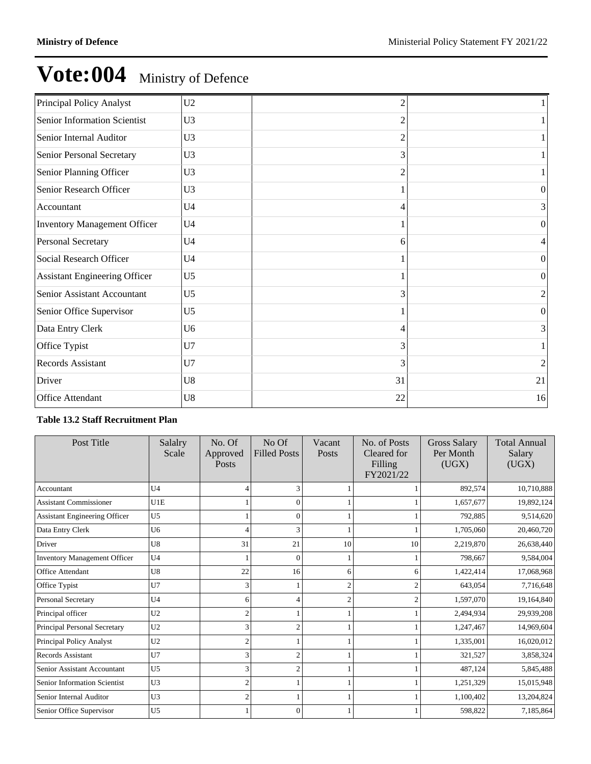| Principal Policy Analyst             | U <sub>2</sub> | $\mathfrak{D}$ |                |
|--------------------------------------|----------------|----------------|----------------|
| Senior Information Scientist         | U <sub>3</sub> | 2              |                |
| Senior Internal Auditor              | U <sub>3</sub> | 2              |                |
| Senior Personal Secretary            | U <sub>3</sub> | 3              |                |
| Senior Planning Officer              | U <sub>3</sub> | 2              |                |
| Senior Research Officer              | U <sub>3</sub> |                | 0              |
| Accountant                           | U <sub>4</sub> | 4              | 3              |
| <b>Inventory Management Officer</b>  | U <sub>4</sub> |                | 0              |
| Personal Secretary                   | U <sub>4</sub> | 6              |                |
| Social Research Officer              | U <sub>4</sub> |                | $\Omega$       |
| <b>Assistant Engineering Officer</b> | U <sub>5</sub> |                | $\Omega$       |
| Senior Assistant Accountant          | U <sub>5</sub> | 3              | $\overline{c}$ |
| Senior Office Supervisor             | U <sub>5</sub> |                | $\theta$       |
| Data Entry Clerk                     | U <sub>6</sub> | 4              |                |
| Office Typist                        | U7             | 3              |                |
| Records Assistant                    | U7             | 3              | 2              |
| Driver                               | U8             | 31             | 21             |
| Office Attendant                     | U8             | 22             | 16             |

### **Table 13.2 Staff Recruitment Plan**

| Post Title                           | Salalry<br>Scale | No. Of<br>Approved<br>Posts | No Of<br><b>Filled Posts</b> | Vacant<br>Posts | No. of Posts<br>Cleared for<br>Filling<br>FY2021/22 | <b>Gross Salary</b><br>Per Month<br>(UGX) | <b>Total Annual</b><br>Salary<br>(UGX) |
|--------------------------------------|------------------|-----------------------------|------------------------------|-----------------|-----------------------------------------------------|-------------------------------------------|----------------------------------------|
| Accountant                           | U <sub>4</sub>   | 4                           |                              |                 |                                                     | 892,574                                   | 10,710,888                             |
| <b>Assistant Commissioner</b>        | U1E              |                             | $\Omega$                     |                 |                                                     | 1,657,677                                 | 19,892,124                             |
| <b>Assistant Engineering Officer</b> | U <sub>5</sub>   |                             |                              |                 |                                                     | 792,885                                   | 9,514,620                              |
| Data Entry Clerk                     | U <sub>6</sub>   | $\overline{4}$              |                              |                 |                                                     | 1,705,060                                 | 20,460,720                             |
| Driver                               | U <sub>8</sub>   | 31                          | 21                           | 10              | 10                                                  | 2,219,870                                 | 26,638,440                             |
| <b>Inventory Management Officer</b>  | U <sub>4</sub>   |                             | 0                            |                 |                                                     | 798,667                                   | 9,584,004                              |
| Office Attendant                     | U8               | 22                          | 16                           | 6               | 6                                                   | 1,422,414                                 | 17,068,968                             |
| Office Typist                        | U7               | 3                           |                              | $\overline{c}$  | ◠                                                   | 643,054                                   | 7,716,648                              |
| Personal Secretary                   | U <sub>4</sub>   | 6                           |                              | $\overline{c}$  |                                                     | 1,597,070                                 | 19,164,840                             |
| Principal officer                    | U2               | $\overline{c}$              |                              |                 |                                                     | 2,494,934                                 | 29,939,208                             |
| Principal Personal Secretary         | U <sub>2</sub>   | 3                           | 2                            |                 |                                                     | 1,247,467                                 | 14,969,604                             |
| Principal Policy Analyst             | U <sub>2</sub>   | $\overline{c}$              |                              |                 |                                                     | 1,335,001                                 | 16,020,012                             |
| <b>Records Assistant</b>             | U7               | 3                           | 2                            |                 |                                                     | 321,527                                   | 3,858,324                              |
| Senior Assistant Accountant          | U <sub>5</sub>   | 3                           |                              |                 |                                                     | 487,124                                   | 5,845,488                              |
| Senior Information Scientist         | U <sub>3</sub>   | $\overline{c}$              |                              |                 |                                                     | 1,251,329                                 | 15,015,948                             |
| Senior Internal Auditor              | U <sub>3</sub>   | $\overline{c}$              |                              |                 |                                                     | 1,100,402                                 | 13,204,824                             |
| Senior Office Supervisor             | U <sub>5</sub>   |                             | $\Omega$                     |                 |                                                     | 598,822                                   | 7,185,864                              |